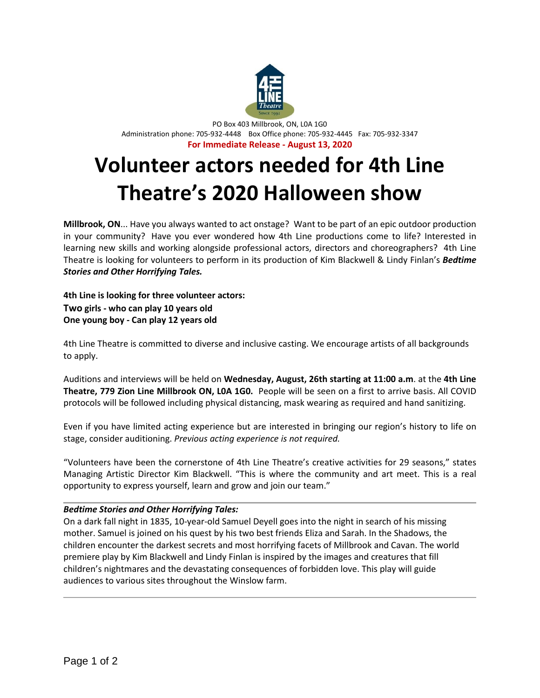

PO Box 403 Millbrook, ON, L0A 1G0 Administration phone: 705-932-4448 Box Office phone: 705-932-4445 Fax: 705-932-3347 **For Immediate Release - August 13, 2020**

## **Volunteer actors needed for 4th Line Theatre's 2020 Halloween show**

**Millbrook, ON**... Have you always wanted to act onstage? Want to be part of an epic outdoor production in your community? Have you ever wondered how 4th Line productions come to life? Interested in learning new skills and working alongside professional actors, directors and choreographers? 4th Line Theatre is looking for volunteers to perform in its production of Kim Blackwell & Lindy Finlan's *Bedtime Stories and Other Horrifying Tales.*

**4th Line is looking for three volunteer actors: Two girls - who can play 10 years old One young boy - Can play 12 years old**

4th Line Theatre is committed to diverse and inclusive casting. We encourage artists of all backgrounds to apply.

Auditions and interviews will be held on **Wednesday, August, 26th starting at 11:00 a.m**. at the **4th Line Theatre, 779 Zion Line Millbrook ON, L0A 1G0.** People will be seen on a first to arrive basis. All COVID protocols will be followed including physical distancing, mask wearing as required and hand sanitizing.

Even if you have limited acting experience but are interested in bringing our region's history to life on stage, consider auditioning. *Previous acting experience is not required.*

"Volunteers have been the cornerstone of 4th Line Theatre's creative activities for 29 seasons," states Managing Artistic Director Kim Blackwell. "This is where the community and art meet. This is a real opportunity to express yourself, learn and grow and join our team."

## *Bedtime Stories and Other Horrifying Tales:*

On a dark fall night in 1835, 10-year-old Samuel Deyell goes into the night in search of his missing mother. Samuel is joined on his quest by his two best friends Eliza and Sarah. In the Shadows, the children encounter the darkest secrets and most horrifying facets of Millbrook and Cavan. The world premiere play by Kim Blackwell and Lindy Finlan is inspired by the images and creatures that fill children's nightmares and the devastating consequences of forbidden love. This play will guide audiences to various sites throughout the Winslow farm.